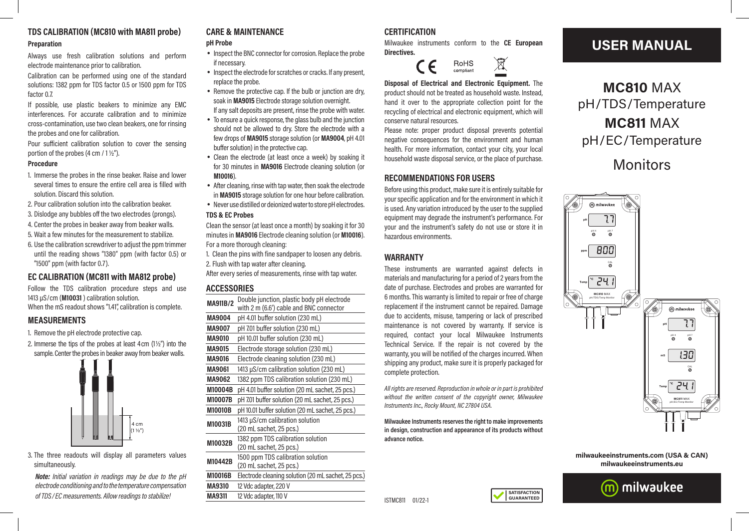# **TDS CALIBRATION (MC810 with MA811 probe)**

**Preparation**

Always use fresh calibration solutions and perform electrode maintenance prior to calibration.

Calibration can be performed using one of the standard solutions: 1382 ppm for TDS factor 0.5 or 1500 ppm for TDS factor 0.7.

If possible, use plastic beakers to minimize any EMC interferences. For accurate calibration and to minimize cross-contamination, use two clean beakers, one for rinsing the probes and one for calibration.

Pour sufficient calibration solution to cover the sensing portion of the probes (4 cm / 1 ½").

#### **Procedure**

- 1. Immerse the probes in the rinse beaker. Raise and lower several times to ensure the entire cell area is filled with solution. Discard this solution.
- 2. Pour calibration solution into the calibration beaker.
- 3. Dislodge any bubbles off the two electrodes (prongs).
- 4. Center the probes in beaker away from beaker walls.
- 5. Wait a few minutes for the measurement to stabilize.
- 6. Use the calibration screwdriver to adjust the ppm trimmer until the reading shows "1380" ppm (with factor 0.5) or "1500" ppm (with factor 0.7).

## **EC CALIBRATION (MC811 with MA812 probe)**

Follow the TDS calibration procedure steps and use 1413 µS/cm (**M10031** ) calibration solution. When the mS readout shows "1.41", calibration is complete.

**MEASUREMENTS**

1. Remove the pH electrode protective cap.

2. Immerse the tips of the probes at least 4cm (1½") into the sample. Center the probes in beaker away from beaker walls.



3. The three readouts will display all parameters values simultaneously.

*Note: Initial variation in readings may be due to the pH electrode conditioning and to the temperature compensation of TDS/EC measurements. Allow readings to stabilize!*

## **CARE & MAINTENANCE**

#### **pH Probe**

- Inspect the BNC connector for corrosion. Replace the probe if necessary.
- Inspect the electrode for scratches or cracks. If any present, replace the probe.
- Remove the protective cap. If the bulb or junction are dry. soak in **MA9015** Electrode storage solution overnight.
- If any salt deposits are present, rinse the probe with water. • To ensure a quick response, the glass bulb and the junction
- should not be allowed to dry. Store the electrode with a few drops of **MA9015** storage solution (or **MA9004**, pH 4.01 buffer solution) in the protective cap.
- Clean the electrode (at least once a week) by soaking it for 30 minutes in **MA9016** Electrode cleaning solution (or **M10016**).
- After cleaning, rinse with tap water, then soak the electrode in **MA9015** storage solution for one hour before calibration.
- Never use distilled or deionized water to store pH electrodes.

#### **TDS & EC Probes**

Clean the sensor (at least once a month) by soaking it for 30 minutes in **MA9016** Electrode cleaning solution (or **M10016**). For a more thorough cleaning:

- 1. Clean the pins with fine sandpaper to loosen any debris.
- 2. Flush with tap water after cleaning.
- After every series of measurements, rinse with tap water.

#### **ACCESSORIES**

| MA911B/2       | Double junction, plastic body pH electrode<br>with 2 m (6.6') cable and BNC connector |  |
|----------------|---------------------------------------------------------------------------------------|--|
| <b>MA9004</b>  | pH 4.01 buffer solution (230 mL)                                                      |  |
| <b>MA9007</b>  | pH 7.01 buffer solution (230 mL)                                                      |  |
| <b>MA9010</b>  | pH 10.01 buffer solution (230 mL)                                                     |  |
| <b>MA9015</b>  | Electrode storage solution (230 mL)                                                   |  |
| <b>MA9016</b>  | Electrode cleaning solution (230 mL)                                                  |  |
| <b>MA9061</b>  | 1413 µS/cm calibration solution (230 mL)                                              |  |
| <b>MA9062</b>  | 1382 ppm TDS calibration solution (230 mL)                                            |  |
| M10004B        | pH 4.01 buffer solution (20 mL sachet, 25 pcs.)                                       |  |
| <b>M10007B</b> | pH 7.01 buffer solution (20 mL sachet, 25 pcs.)                                       |  |
| <b>M10010B</b> | pH 10.01 buffer solution (20 mL sachet, 25 pcs.)                                      |  |
|                |                                                                                       |  |
| M10031B        | 1413 µS/cm calibration solution<br>(20 mL sachet, 25 pcs.)                            |  |
| M10032B        | 1382 ppm TDS calibration solution<br>(20 mL sachet, 25 pcs.)                          |  |
| M10442B        | 1500 ppm TDS calibration solution<br>(20 mL sachet, 25 pcs.)                          |  |
| <b>M10016B</b> | Electrode cleaning solution (20 mL sachet, 25 pcs.)                                   |  |
| <b>MA9310</b>  | 12 Vdc adapter, 220 V                                                                 |  |

### **CERTIFICATION**

Milwaukee instruments conform to the **CE European Directives.**

 $\widehat{\boxtimes}$ 



**Disposal of Electrical and Electronic Equipment.** The product should not be treated as household waste. Instead, hand it over to the appropriate collection point for the recycling of electrical and electronic equipment, which will conserve natural resources.

Please note: proper product disposal prevents potential negative consequences for the environment and human health. For more information, contact your city, your local household waste disposal service, or the place of purchase.

## **RECOMMENDATIONS FOR USERS**

Before using this product, make sure it is entirely suitable for your specific application and for the environment in which it is used. Any variation introduced by the user to the supplied equipment may degrade the instrument's performance. For your and the instrument's safety do not use or store it in hazardous environments.

## **WARRANTY**

These instruments are warranted against defects in materials and manufacturing for a period of 2 years from the date of purchase. Electrodes and probes are warranted for 6 months. This warranty is limited to repair or free of charge replacement if the instrument cannot be repaired. Damage due to accidents, misuse, tampering or lack of prescribed maintenance is not covered by warranty. If service is required, contact your local Milwaukee Instruments Technical Service. If the repair is not covered by the warranty, you will be notified of the charges incurred. When shipping any product, make sure it is properly packaged for complete protection.

*All rights are reserved. Reproduction in whole or in part is prohibited without the written consent of the copyright owner, Milwaukee Instruments Inc., Rocky Mount, NC 27804 USA.*

**Milwaukee Instruments reserves the right to make improvements in design, construction and appearance of its products without advance notice.**

> **SATISFACTION GUARANTEED**

## **USER MANUAL**

**MC810** MAX pH/TDS/Temperature **MC811** MAX pH/EC/Temperature Monitors



**milwaukeeinstruments.com (USA & CAN) milwaukeeinstruments.eu**



**MA9311** 12 Vdc adapter, 110 V ISTMC811 01/22-1